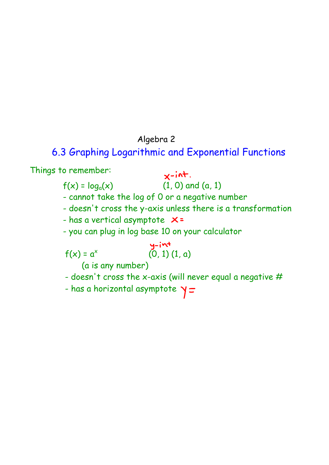## Algebra 2

## 6.3 Graphing Logarithmic and Exponential Functions

Things to remember:

 $x$ -int.

 $f(x) = log_a(x)$  (1, 0) and (a, 1)

- cannot take the log of 0 or a negative number

- doesn't cross the y-axis unless there is a transformation
- has a vertical asymptote  $x =$
- you can plug in log base 10 on your calculator

 $\mathsf{f}(\mathsf{x})$  =  $\mathsf{a}^{\mathsf{x}}$  $y-iv$ <br>(0, 1) (1, a)

(a is any number)

- doesn't cross the x-axis (will never equal a negative  $#$
- has a horizontal asymptote  $\gamma$   $=$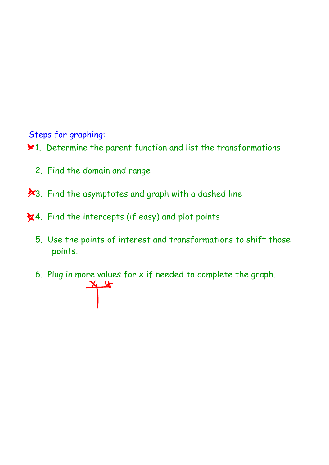Steps for graphing:

1. Determine the parent function and list the transformations

- 2. Find the domain and range
- **\***3. Find the asymptotes and graph with a dashed line
- \* 4. Find the intercepts (if easy) and plot points
	- 5. Use the points of interest and transformations to shift those points.

6. Plug in more values for x if needed to complete the graph.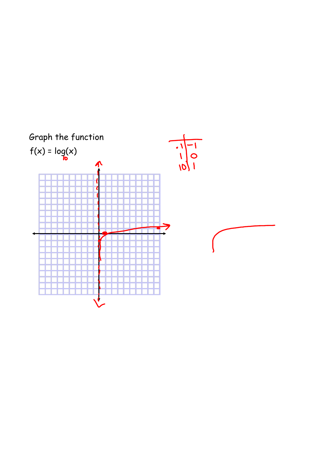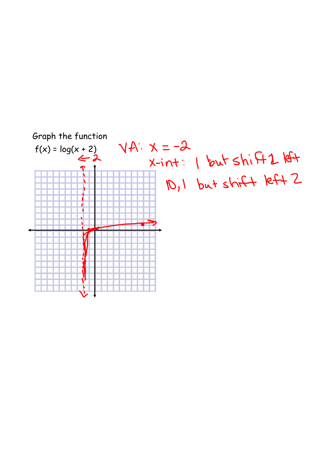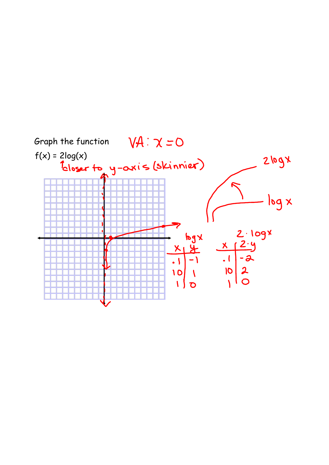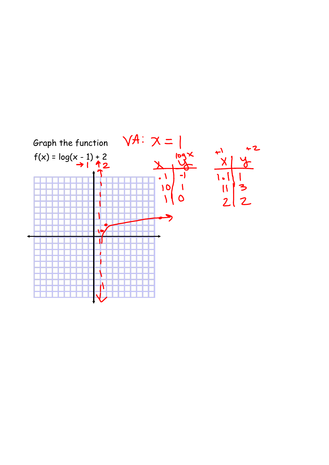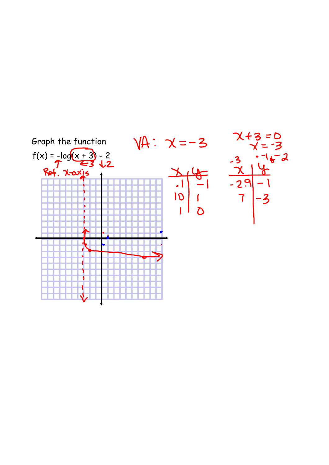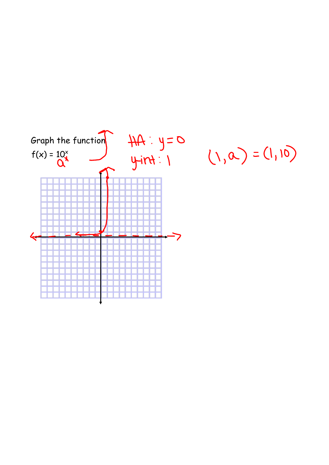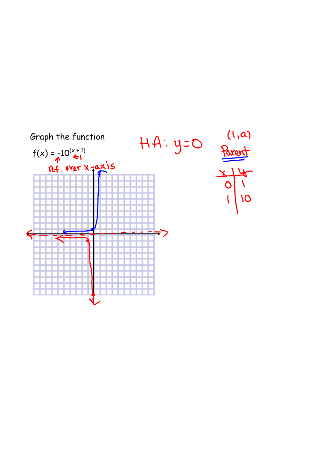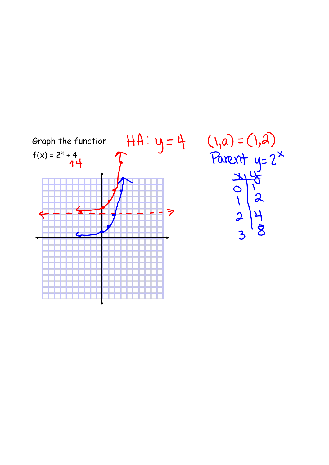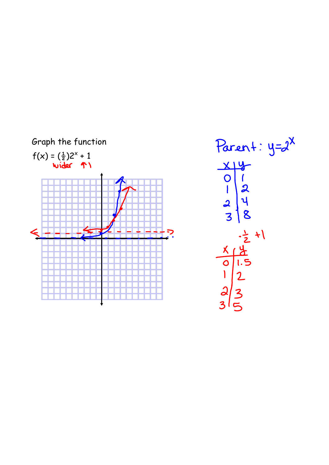

Parent: 
$$
y = 2^x
$$

\n $\frac{x}{9} = \frac{1}{2}$ 

\n $\frac{2}{3} = \frac{1}{2}$ 

\n $\frac{x}{9} = \frac{1}{2}$ 

\n $\frac{x}{9} = \frac{1}{2}$ 

\n $\frac{2}{5} = \frac{1}{2}$ 

\n $\frac{2}{5} = \frac{1}{2}$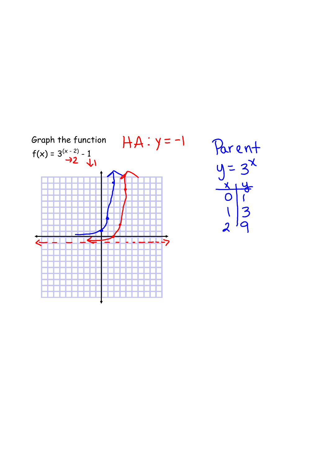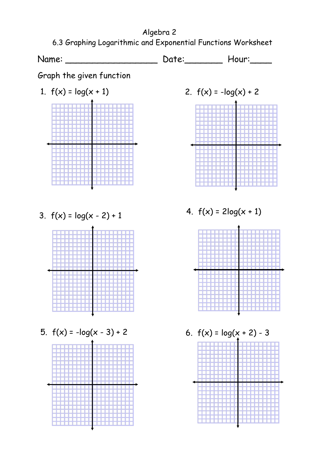Algebra 2 6.3 Graphing Logarithmic and Exponential Functions Worksheet

Name: \_\_\_\_\_\_\_\_\_\_\_\_\_\_\_\_\_\_\_\_\_\_ Date: \_\_\_\_\_\_\_\_ Hour: \_\_\_\_\_

Graph the given function

- 1.  $f(x) = log(x + 1)$  2.  $f(x) = -log(x) + 2$
- 3.  $f(x) = log(x 2) + 1$  4.  $f(x) = 2log(x + 1)$



5.  $f(x) = -\log(x - 3) + 2$  6.  $f(x) = \log(x + 2) - 3$